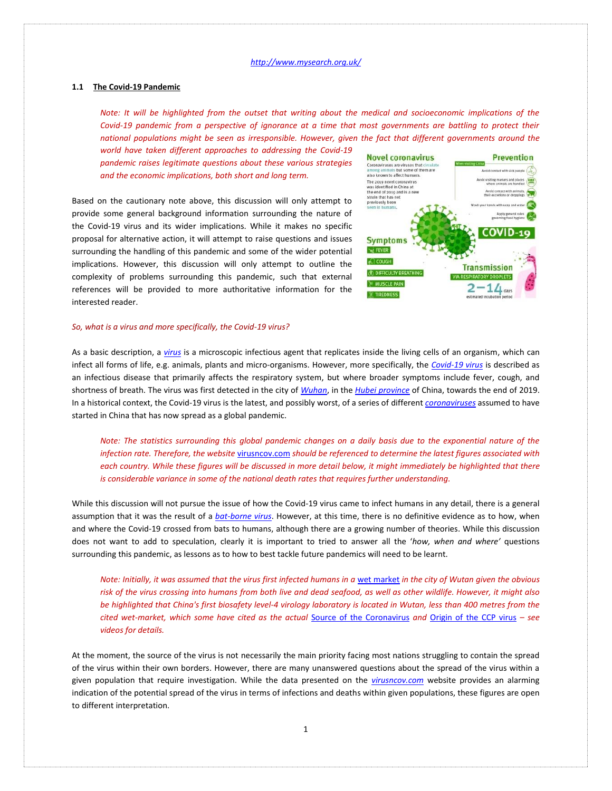# **1.1 The Covid-19 Pandemic**

*Note: It will be highlighted from the outset that writing about the medical and socioeconomic implications of the Covid-19 pandemic from a perspective of ignorance at a time that most governments are battling to protect their national populations might be seen as irresponsible. However, given the fact that different governments around the* 

*world have taken different approaches to addressing the Covid-19 pandemic raises legitimate questions about these various strategies and the economic implications, both short and long term.* 

Based on the cautionary note above, this discussion will only attempt to provide some general background information surrounding the nature of the Covid-19 virus and its wider implications. While it makes no specific proposal for alternative action, it will attempt to raise questions and issues surrounding the handling of this pandemic and some of the wider potential implications. However, this discussion will only attempt to outline the complexity of problems surrounding this pandemic, such that external references will be provided to more authoritative information for the interested reader.



#### *So, what is a virus and more specifically, the Covid-19 virus?*

As a basic description, a *[virus](https://en.wikipedia.org/wiki/Virus)* is a microscopic infectious agent that replicates inside the living cells of an organism, which can infect all forms of life, e.g. animals, plants and micro-organisms. However, more specifically, the *[Covid-19 virus](https://en.wikipedia.org/wiki/Coronavirus_disease_2019)* is described as an infectious disease that primarily affects the respiratory system, but where broader symptoms include fever, cough, and shortness of breath. The virus was first detected in the city of *[Wuhan](https://en.wikipedia.org/wiki/Wuhan)*, in the *[Hubei province](https://en.wikipedia.org/wiki/Hubei)* of China, towards the end of 2019. In a historical context, the Covid-19 virus is the latest, and possibly worst, of a series of different *[coronaviruses](https://en.wikipedia.org/wiki/Coronavirus_disease_2019)* assumed to have started in China that has now spread as a global pandemic.

*Note: The statistics surrounding this global pandemic changes on a daily basis due to the exponential nature of the infection rate. Therefore, the website* [virusncov.com](https://virusncov.com/) *should be referenced to determine the latest figures associated with each country. While these figures will be discussed in more detail below, it might immediately be highlighted that there is considerable variance in some of the national death rates that requires further understanding.* 

While this discussion will not pursue the issue of how the Covid-19 virus came to infect humans in any detail, there is a general assumption that it was the result of a *[bat-borne virus](https://en.wikipedia.org/wiki/Bat-borne_virus)*. However, at this time, there is no definitive evidence as to how, when and where the Covid-19 crossed from bats to humans, although there are a growing number of theories. While this discussion does not want to add to speculation, clearly it is important to tried to answer all the '*how, when and where'* questions surrounding this pandemic, as lessons as to how to best tackle future pandemics will need to be learnt.

*Note: Initially, it was assumed that the virus first infected humans in a [wet market](https://en.wikipedia.org/wiki/Wet_market) in the city of Wutan given the obvious risk of the virus crossing into humans from both live and dead seafood, as well as other wildlife. However, it might also be highlighted that China's first biosafety level-4 virology laboratory is located in Wutan, less than 400 metres from the cited wet-market, which some have cited as the actual* [Source of the Coronavirus](https://www.youtube.com/watch?v=bpQFCcSI0pU&t=526s) *and* [Origin of the CCP virus](https://www.youtube.com/watch?v=XMJ0EmMfb3U) *– see videos for details.* 

At the moment, the source of the virus is not necessarily the main priority facing most nations struggling to contain the spread of the virus within their own borders. However, there are many unanswered questions about the spread of the virus within a given population that require investigation. While the data presented on the *[virusncov.com](https://virusncov.com/)* website provides an alarming indication of the potential spread of the virus in terms of infections and deaths within given populations, these figures are open to different interpretation.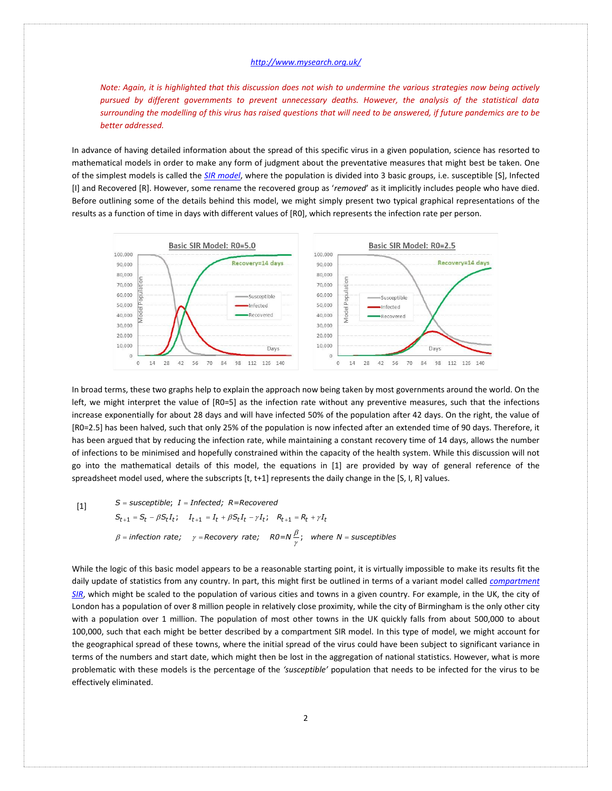*Note: Again, it is highlighted that this discussion does not wish to undermine the various strategies now being actively pursued by different governments to prevent unnecessary deaths. However, the analysis of the statistical data surrounding the modelling of this virus has raised questions that will need to be answered, if future pandemics are to be better addressed.*

In advance of having detailed information about the spread of this specific virus in a given population, science has resorted to mathematical models in order to make any form of judgment about the preventative measures that might best be taken. One of the simplest models is called the *[SIR model](https://en.wikipedia.org/wiki/Compartmental_models_in_epidemiology#The_SIR_model)*, where the population is divided into 3 basic groups, i.e. susceptible [S], Infected [I] and Recovered [R]. However, some rename the recovered group as '*removed*' as it implicitly includes people who have died. Before outlining some of the details behind this model, we might simply present two typical graphical representations of the results as a function of time in days with different values of [R0], which represents the infection rate per person.



In broad terms, these two graphs help to explain the approach now being taken by most governments around the world. On the left, we might interpret the value of [R0=5] as the infection rate without any preventive measures, such that the infections increase exponentially for about 28 days and will have infected 50% of the population after 42 days. On the right, the value of [R0=2.5] has been halved, such that only 25% of the population is now infected after an extended time of 90 days. Therefore, it has been argued that by reducing the infection rate, while maintaining a constant recovery time of 14 days, allows the number of infections to be minimised and hopefully constrained within the capacity of the health system. While this discussion will not go into the mathematical details of this model, the equations in [1] are provided by way of general reference of the spreadsheet model used, where the subscripts [t, t+1] represents the daily change in the [S, I, R] values.

$$
[1]
$$

 $S$  = susceptible;  $I$  = Infected; R=Recovered<br> $S_{t+1}$  =  $S_t$  –  $\beta S_t I_t$ ;  $I_{t+1}$  =  $I_t$  +  $\beta S_t I_t$  –  $\gamma I_t$ ;  $R_{t+1}$  =  $R_t$  +  $\gamma I_t$ t model used, where the subscripts [t, t+1] re<br>*S = susceptible; I = Infected; R=Recovered*  $I_t = S_t - \beta S_t I_t;$   $I_{t+1} = I_t + \beta S_t I_t - \gamma I_t;$   $R_{t+1} = R_t + \gamma I_t$ <br>infection rate;  $\gamma$  = Recovery rate;  $R0 = N \frac{\beta}{\gamma}$ ; where  $N$  = susceptibles β  $S_{t+1} = S_t - \beta S_t I_t$ ;  $I_{t+1} = I_t + \beta S_t I_t - \gamma I_t$ ;  $R_{t+1} = R_t + \gamma I_t$ <br>  $\beta$  = infection rate;  $\gamma$  = Recovery rate;  $R0 = N \frac{\beta}{\gamma}$ ; where  $N$  = susceptit γ

While the logic of this basic model appears to be a reasonable starting point, it is virtually impossible to make its results fit the daily update of statistics from any country. In part, this might first be outlined in terms of a variant model called *[compartment](https://en.wikipedia.org/wiki/Compartmental_models_in_epidemiology)  [SIR](https://en.wikipedia.org/wiki/Compartmental_models_in_epidemiology)*, which might be scaled to the population of various cities and towns in a given country. For example, in the UK, the city of London has a population of over 8 million people in relatively close proximity, while the city of Birmingham is the only other city with a population over 1 million. The population of most other towns in the UK quickly falls from about 500,000 to about 100,000, such that each might be better described by a compartment SIR model. In this type of model, we might account for the geographical spread of these towns, where the initial spread of the virus could have been subject to significant variance in terms of the numbers and start date, which might then be lost in the aggregation of national statistics. However, what is more problematic with these models is the percentage of the *'susceptible'* population that needs to be infected for the virus to be effectively eliminated.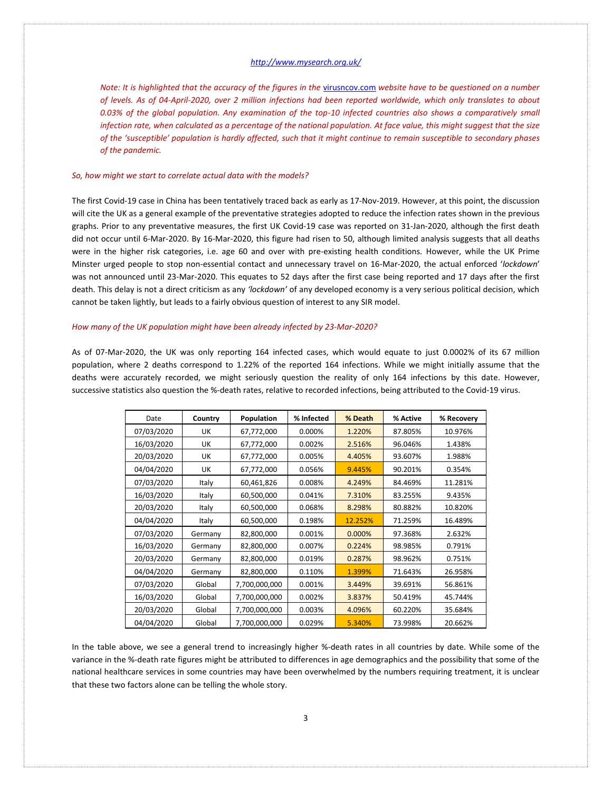*Note: It is highlighted that the accuracy of the figures in the [virusncov.com](https://virusncov.com/) website have to be questioned on a number of levels. As of 04-April-2020, over 2 million infections had been reported worldwide, which only translates to about 0.03% of the global population. Any examination of the top-10 infected countries also shows a comparatively small infection rate, when calculated as a percentage of the national population. At face value, this might suggest that the size of the 'susceptible' population is hardly affected, such that it might continue to remain susceptible to secondary phases of the pandemic.* 

#### *So, how might we start to correlate actual data with the models?*

The first Covid-19 case in China has been tentatively traced back as early as 17-Nov-2019. However, at this point, the discussion will cite the UK as a general example of the preventative strategies adopted to reduce the infection rates shown in the previous graphs. Prior to any preventative measures, the first UK Covid-19 case was reported on 31-Jan-2020, although the first death did not occur until 6-Mar-2020. By 16-Mar-2020, this figure had risen to 50, although limited analysis suggests that all deaths were in the higher risk categories, i.e. age 60 and over with pre-existing health conditions. However, while the UK Prime Minster urged people to stop non-essential contact and unnecessary travel on 16-Mar-2020, the actual enforced '*lockdown*' was not announced until 23-Mar-2020. This equates to 52 days after the first case being reported and 17 days after the first death. This delay is not a direct criticism as any *'lockdown'* of any developed economy is a very serious political decision, which cannot be taken lightly, but leads to a fairly obvious question of interest to any SIR model.

#### *How many of the UK population might have been already infected by 23-Mar-2020?*

As of 07-Mar-2020, the UK was only reporting 164 infected cases, which would equate to just 0.0002% of its 67 million population, where 2 deaths correspond to 1.22% of the reported 164 infections. While we might initially assume that the deaths were accurately recorded, we might seriously question the reality of only 164 infections by this date. However, successive statistics also question the %-death rates, relative to recorded infections, being attributed to the Covid-19 virus.

| Date       | Country | Population    | % Infected | % Death | % Active | % Recovery |
|------------|---------|---------------|------------|---------|----------|------------|
| 07/03/2020 | UK      | 67,772,000    | 0.000%     | 1.220%  | 87.805%  | 10.976%    |
| 16/03/2020 | UK      | 67,772,000    | 0.002%     | 2.516%  | 96.046%  | 1.438%     |
| 20/03/2020 | UK      | 67,772,000    | 0.005%     | 4.405%  | 93.607%  | 1.988%     |
| 04/04/2020 | UK      | 67,772,000    | 0.056%     | 9.445%  | 90.201%  | 0.354%     |
| 07/03/2020 | Italy   | 60,461,826    | 0.008%     | 4.249%  | 84.469%  | 11.281%    |
| 16/03/2020 | Italy   | 60,500,000    | 0.041%     | 7.310%  | 83.255%  | 9.435%     |
| 20/03/2020 | Italy   | 60,500,000    | 0.068%     | 8.298%  | 80.882%  | 10.820%    |
| 04/04/2020 | Italy   | 60,500,000    | 0.198%     | 12.252% | 71.259%  | 16.489%    |
| 07/03/2020 | Germany | 82,800,000    | 0.001%     | 0.000%  | 97.368%  | 2.632%     |
| 16/03/2020 | Germany | 82,800,000    | 0.007%     | 0.224%  | 98.985%  | 0.791%     |
| 20/03/2020 | Germany | 82,800,000    | 0.019%     | 0.287%  | 98.962%  | 0.751%     |
| 04/04/2020 | Germany | 82,800,000    | 0.110%     | 1.399%  | 71.643%  | 26.958%    |
| 07/03/2020 | Global  | 7,700,000,000 | 0.001%     | 3.449%  | 39.691%  | 56.861%    |
| 16/03/2020 | Global  | 7,700,000,000 | 0.002%     | 3.837%  | 50.419%  | 45.744%    |
| 20/03/2020 | Global  | 7,700,000,000 | 0.003%     | 4.096%  | 60.220%  | 35.684%    |
| 04/04/2020 | Global  | 7,700,000,000 | 0.029%     | 5.340%  | 73.998%  | 20.662%    |

In the table above, we see a general trend to increasingly higher %-death rates in all countries by date. While some of the variance in the %-death rate figures might be attributed to differences in age demographics and the possibility that some of the national healthcare services in some countries may have been overwhelmed by the numbers requiring treatment, it is unclear that these two factors alone can be telling the whole story.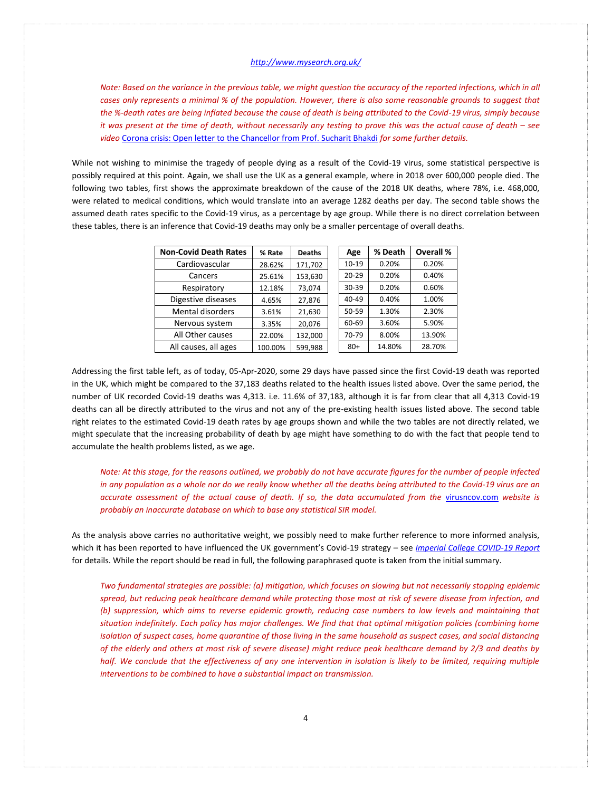*Note: Based on the variance in the previous table, we might question the accuracy of the reported infections, which in all cases only represents a minimal % of the population. However, there is also some reasonable grounds to suggest that the %-death rates are being inflated because the cause of death is being attributed to the Covid-19 virus, simply because it was present at the time of death, without necessarily any testing to prove this was the actual cause of death – see video* [Corona crisis: Open letter to the Chancellor from Prof. Sucharit Bhakdi](https://www.youtube.com/watch?v=LsExPrHCHbw) *for some further details.* 

While not wishing to minimise the tragedy of people dying as a result of the Covid-19 virus, some statistical perspective is possibly required at this point. Again, we shall use the UK as a general example, where in 2018 over 600,000 people died. The following two tables, first shows the approximate breakdown of the cause of the 2018 UK deaths, where 78%, i.e. 468,000, were related to medical conditions, which would translate into an average 1282 deaths per day. The second table shows the assumed death rates specific to the Covid-19 virus, as a percentage by age group. While there is no direct correlation between these tables, there is an inference that Covid-19 deaths may only be a smaller percentage of overall deaths.

| <b>Non-Covid Death Rates</b> | % Rate  | <b>Deaths</b> | Age       | % Death | Overall % |
|------------------------------|---------|---------------|-----------|---------|-----------|
| Cardiovascular               | 28.62%  | 171,702       | $10 - 19$ | 0.20%   | 0.20%     |
| Cancers                      | 25.61%  | 153,630       | $20 - 29$ | 0.20%   | 0.40%     |
| Respiratory                  | 12.18%  | 73,074        | $30 - 39$ | 0.20%   | 0.60%     |
| Digestive diseases           | 4.65%   | 27,876        | 40-49     | 0.40%   | 1.00%     |
| Mental disorders             | 3.61%   | 21,630        | 50-59     | 1.30%   | 2.30%     |
| Nervous system               | 3.35%   | 20,076        | 60-69     | 3.60%   | 5.90%     |
| All Other causes             | 22.00%  | 132,000       | 70-79     | 8.00%   | 13.90%    |
| All causes, all ages         | 100.00% | 599,988       | $80+$     | 14.80%  | 28.70%    |

Addressing the first table left, as of today, 05-Apr-2020, some 29 days have passed since the first Covid-19 death was reported in the UK, which might be compared to the 37,183 deaths related to the health issues listed above. Over the same period, the number of UK recorded Covid-19 deaths was 4,313. i.e. 11.6% of 37,183, although it is far from clear that all 4,313 Covid-19 deaths can all be directly attributed to the virus and not any of the pre-existing health issues listed above. The second table right relates to the estimated Covid-19 death rates by age groups shown and while the two tables are not directly related, we might speculate that the increasing probability of death by age might have something to do with the fact that people tend to accumulate the health problems listed, as we age.

*Note: At this stage, for the reasons outlined, we probably do not have accurate figures for the number of people infected in any population as a whole nor do we really know whether all the deaths being attributed to the Covid-19 virus are an accurate assessment of the actual cause of death. If so, the data accumulated from the* [virusncov.com](https://virusncov.com/) *website is probably an inaccurate database on which to base any statistical SIR model.*

As the analysis above carries no authoritative weight, we possibly need to make further reference to more informed analysis, which it has been reported to have influenced the UK government's Covid-19 strategy – see *[Imperial College COVID-19 Report](Refs/Imperial-College-COVID19-NPI-modelling-16-03-2020.pdf)* for details. While the report should be read in full, the following paraphrased quote is taken from the initial summary.

*Two fundamental strategies are possible: (a) mitigation, which focuses on slowing but not necessarily stopping epidemic spread, but reducing peak healthcare demand while protecting those most at risk of severe disease from infection, and (b) suppression, which aims to reverse epidemic growth, reducing case numbers to low levels and maintaining that situation indefinitely. Each policy has major challenges. We find that that optimal mitigation policies (combining home isolation of suspect cases, home quarantine of those living in the same household as suspect cases, and social distancing of the elderly and others at most risk of severe disease) might reduce peak healthcare demand by 2/3 and deaths by half.* We conclude that the effectiveness of any one intervention in isolation is likely to be limited, requiring multiple *interventions to be combined to have a substantial impact on transmission.*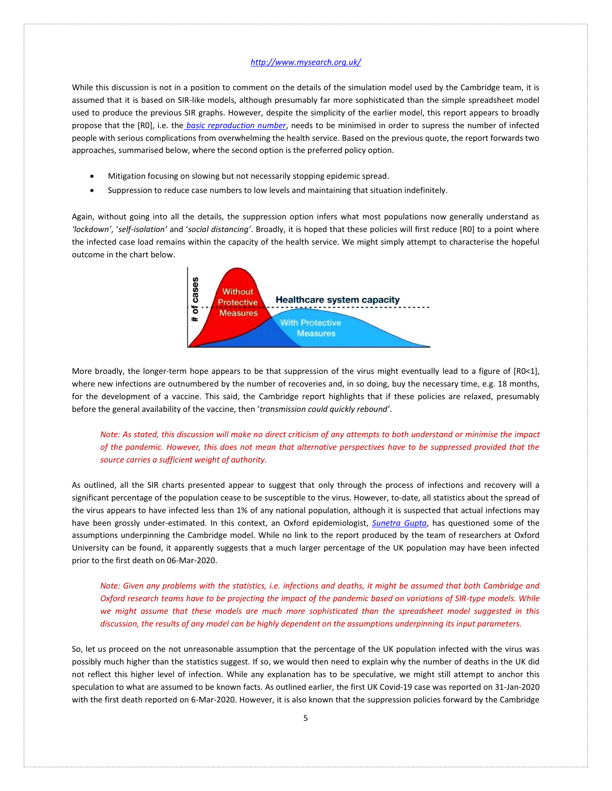While this discussion is not in a position to comment on the details of the simulation model used by the Cambridge team, it is assumed that it is based on SIR-like models, although presumably far more sophisticated than the simple spreadsheet model used to produce the previous SIR graphs. However, despite the simplicity of the earlier model, this report appears to broadly propose that the [R0], i.e. the *[basic reproduction number](https://en.wikipedia.org/wiki/Basic_reproduction_number)*, needs to be minimised in order to supress the number of infected people with serious complications from overwhelming the health service. Based on the previous quote, the report forwards two approaches, summarised below, where the second option is the preferred policy option.

- Mitigation focusing on slowing but not necessarily stopping epidemic spread.
- Suppression to reduce case numbers to low levels and maintaining that situation indefinitely.

Again, without going into all the details, the suppression option infers what most populations now generally understand as *'lockdown'*, '*self-isolation'* and '*social distancing'*. Broadly, it is hoped that these policies will first reduce [R0] to a point where the infected case load remains within the capacity of the health service. We might simply attempt to characterise the hopeful outcome in the chart below.



More broadly, the longer-term hope appears to be that suppression of the virus might eventually lead to a figure of [R0<1], where new infections are outnumbered by the number of recoveries and, in so doing, buy the necessary time, e.g. 18 months, for the development of a vaccine. This said, the Cambridge report highlights that if these policies are relaxed, presumably before the general availability of the vaccine, then '*transmission could quickly rebound'*.

*Note: As stated, this discussion will make no direct criticism of any attempts to both understand or minimise the impact of the pandemic. However, this does not mean that alternative perspectives have to be suppressed provided that the source carries a sufficient weight of authority.*

As outlined, all the SIR charts presented appear to suggest that only through the process of infections and recovery will a significant percentage of the population cease to be susceptible to the virus. However, to-date, all statistics about the spread of the virus appears to have infected less than 1% of any national population, although it is suspected that actual infections may have been grossly under-estimated. In this context, an Oxford epidemiologist, *[Sunetra Gupta](https://en.wikipedia.org/wiki/Sunetra_Gupta)*, has questioned some of the assumptions underpinning the Cambridge model. While no link to the report produced by the team of researchers at Oxford University can be found, it apparently suggests that a much larger percentage of the UK population may have been infected prior to the first death on 06-Mar-2020.

*Note: Given any problems with the statistics, i.e. infections and deaths, it might be assumed that both Cambridge and Oxford research teams have to be projecting the impact of the pandemic based on variations of SIR-type models. While we might assume that these models are much more sophisticated than the spreadsheet model suggested in this discussion, the results of any model can be highly dependent on the assumptions underpinning its input parameters.* 

So, let us proceed on the not unreasonable assumption that the percentage of the UK population infected with the virus was possibly much higher than the statistics suggest. If so, we would then need to explain why the number of deaths in the UK did not reflect this higher level of infection. While any explanation has to be speculative, we might still attempt to anchor this speculation to what are assumed to be known facts. As outlined earlier, the first UK Covid-19 case was reported on 31-Jan-2020 with the first death reported on 6-Mar-2020. However, it is also known that the suppression policies forward by the Cambridge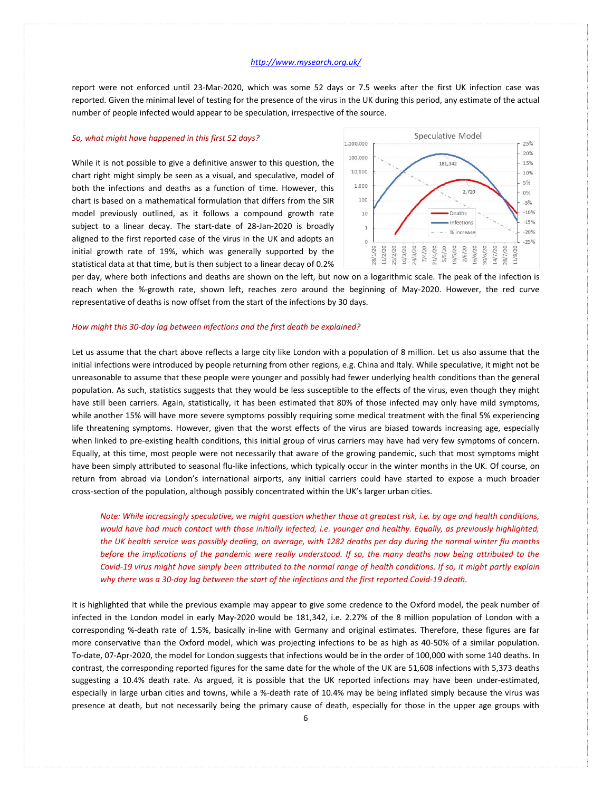report were not enforced until 23-Mar-2020, which was some 52 days or 7.5 weeks after the first UK infection case was reported. Given the minimal level of testing for the presence of the virus in the UK during this period, any estimate of the actual number of people infected would appear to be speculation, irrespective of the source.

# *So, what might have happened in this first 52 days?*

While it is not possible to give a definitive answer to this question, the chart right might simply be seen as a visual, and speculative, model of both the infections and deaths as a function of time. However, this chart is based on a mathematical formulation that differs from the SIR model previously outlined, as it follows a compound growth rate subject to a linear decay. The start-date of 28-Jan-2020 is broadly aligned to the first reported case of the virus in the UK and adopts an initial growth rate of 19%, which was generally supported by the statistical data at that time, but is then subject to a linear decay of 0.2%



per day, where both infections and deaths are shown on the left, but now on a logarithmic scale. The peak of the infection is reach when the %-growth rate, shown left, reaches zero around the beginning of May-2020. However, the red curve representative of deaths is now offset from the start of the infections by 30 days.

#### *How might this 30-day lag between infections and the first death be explained?*

Let us assume that the chart above reflects a large city like London with a population of 8 million. Let us also assume that the initial infections were introduced by people returning from other regions, e.g. China and Italy. While speculative, it might not be unreasonable to assume that these people were younger and possibly had fewer underlying health conditions than the general population. As such, statistics suggests that they would be less susceptible to the effects of the virus, even though they might have still been carriers. Again, statistically, it has been estimated that 80% of those infected may only have mild symptoms, while another 15% will have more severe symptoms possibly requiring some medical treatment with the final 5% experiencing life threatening symptoms. However, given that the worst effects of the virus are biased towards increasing age, especially when linked to pre-existing health conditions, this initial group of virus carriers may have had very few symptoms of concern. Equally, at this time, most people were not necessarily that aware of the growing pandemic, such that most symptoms might have been simply attributed to seasonal flu-like infections, which typically occur in the winter months in the UK. Of course, on return from abroad via London's international airports, any initial carriers could have started to expose a much broader cross-section of the population, although possibly concentrated within the UK's larger urban cities.

*Note: While increasingly speculative, we might question whether those at greatest risk, i.e. by age and health conditions, would have had much contact with those initially infected, i.e. younger and healthy. Equally, as previously highlighted, the UK health service was possibly dealing, on average, with 1282 deaths per day during the normal winter flu months before the implications of the pandemic were really understood. If so, the many deaths now being attributed to the Covid-19 virus might have simply been attributed to the normal range of health conditions. If so, it might partly explain why there was a 30-day lag between the start of the infections and the first reported Covid-19 death.*

It is highlighted that while the previous example may appear to give some credence to the Oxford model, the peak number of infected in the London model in early May-2020 would be 181,342, i.e. 2.27% of the 8 million population of London with a corresponding %-death rate of 1.5%, basically in-line with Germany and original estimates. Therefore, these figures are far more conservative than the Oxford model, which was projecting infections to be as high as 40-50% of a similar population. To-date, 07-Apr-2020, the model for London suggests that infections would be in the order of 100,000 with some 140 deaths. In contrast, the corresponding reported figures for the same date for the whole of the UK are 51,608 infections with 5,373 deaths suggesting a 10.4% death rate. As argued, it is possible that the UK reported infections may have been under-estimated, especially in large urban cities and towns, while a %-death rate of 10.4% may be being inflated simply because the virus was presence at death, but not necessarily being the primary cause of death, especially for those in the upper age groups with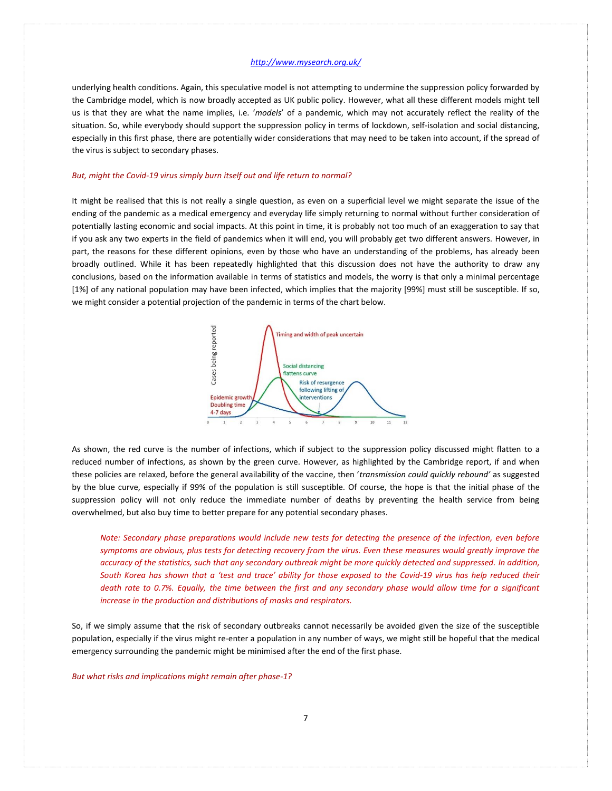underlying health conditions. Again, this speculative model is not attempting to undermine the suppression policy forwarded by the Cambridge model, which is now broadly accepted as UK public policy. However, what all these different models might tell us is that they are what the name implies, i.e. '*models*' of a pandemic, which may not accurately reflect the reality of the situation. So, while everybody should support the suppression policy in terms of lockdown, self-isolation and social distancing, especially in this first phase, there are potentially wider considerations that may need to be taken into account, if the spread of the virus is subject to secondary phases.

### *But, might the Covid-19 virus simply burn itself out and life return to normal?*

It might be realised that this is not really a single question, as even on a superficial level we might separate the issue of the ending of the pandemic as a medical emergency and everyday life simply returning to normal without further consideration of potentially lasting economic and social impacts. At this point in time, it is probably not too much of an exaggeration to say that if you ask any two experts in the field of pandemics when it will end, you will probably get two different answers. However, in part, the reasons for these different opinions, even by those who have an understanding of the problems, has already been broadly outlined. While it has been repeatedly highlighted that this discussion does not have the authority to draw any conclusions, based on the information available in terms of statistics and models, the worry is that only a minimal percentage [1%] of any national population may have been infected, which implies that the majority [99%] must still be susceptible. If so, we might consider a potential projection of the pandemic in terms of the chart below.



As shown, the red curve is the number of infections, which if subject to the suppression policy discussed might flatten to a reduced number of infections, as shown by the green curve. However, as highlighted by the Cambridge report, if and when these policies are relaxed, before the general availability of the vaccine, then '*transmission could quickly rebound'* as suggested by the blue curve, especially if 99% of the population is still susceptible. Of course, the hope is that the initial phase of the suppression policy will not only reduce the immediate number of deaths by preventing the health service from being overwhelmed, but also buy time to better prepare for any potential secondary phases.

*Note: Secondary phase preparations would include new tests for detecting the presence of the infection, even before symptoms are obvious, plus tests for detecting recovery from the virus. Even these measures would greatly improve the accuracy of the statistics, such that any secondary outbreak might be more quickly detected and suppressed. In addition, South Korea has shown that a 'test and trace' ability for those exposed to the Covid-19 virus has help reduced their death rate to 0.7%. Equally, the time between the first and any secondary phase would allow time for a significant increase in the production and distributions of masks and respirators.*

So, if we simply assume that the risk of secondary outbreaks cannot necessarily be avoided given the size of the susceptible population, especially if the virus might re-enter a population in any number of ways, we might still be hopeful that the medical emergency surrounding the pandemic might be minimised after the end of the first phase.

*But what risks and implications might remain after phase-1?*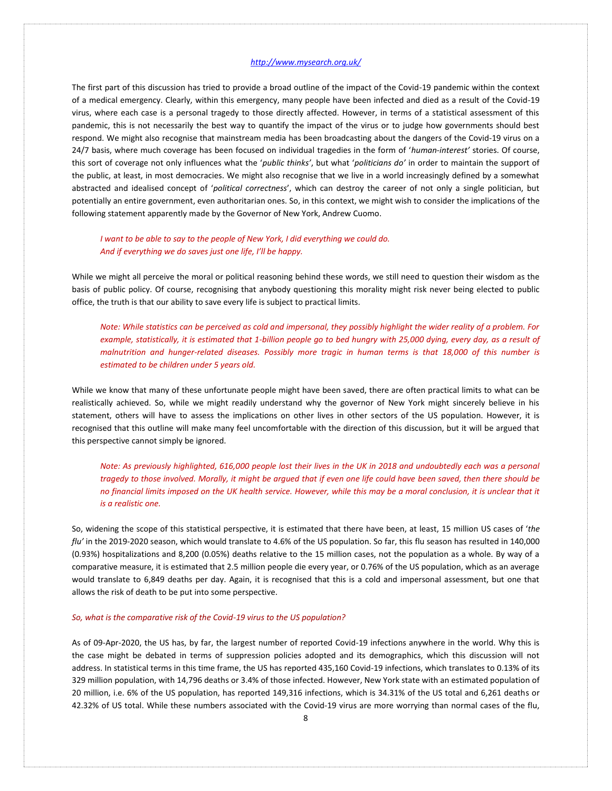The first part of this discussion has tried to provide a broad outline of the impact of the Covid-19 pandemic within the context of a medical emergency. Clearly, within this emergency, many people have been infected and died as a result of the Covid-19 virus, where each case is a personal tragedy to those directly affected. However, in terms of a statistical assessment of this pandemic, this is not necessarily the best way to quantify the impact of the virus or to judge how governments should best respond. We might also recognise that mainstream media has been broadcasting about the dangers of the Covid-19 virus on a 24/7 basis, where much coverage has been focused on individual tragedies in the form of '*human-interest'* stories. Of course, this sort of coverage not only influences what the '*public thinks'*, but what '*politicians do'* in order to maintain the support of the public, at least, in most democracies. We might also recognise that we live in a world increasingly defined by a somewhat abstracted and idealised concept of '*political correctness*', which can destroy the career of not only a single politician, but potentially an entire government, even authoritarian ones. So, in this context, we might wish to consider the implications of the following statement apparently made by the Governor of New York, Andrew Cuomo.

# *I want to be able to say to the people of New York, I did everything we could do. And if everything we do saves just one life, I'll be happy.*

While we might all perceive the moral or political reasoning behind these words, we still need to question their wisdom as the basis of public policy. Of course, recognising that anybody questioning this morality might risk never being elected to public office, the truth is that our ability to save every life is subject to practical limits.

*Note: While statistics can be perceived as cold and impersonal, they possibly highlight the wider reality of a problem. For example, statistically, it is estimated that 1-billion people go to bed hungry with 25,000 dying, every day, as a result of malnutrition and hunger-related diseases. Possibly more tragic in human terms is that 18,000 of this number is estimated to be children under 5 years old.*

While we know that many of these unfortunate people might have been saved, there are often practical limits to what can be realistically achieved. So, while we might readily understand why the governor of New York might sincerely believe in his statement, others will have to assess the implications on other lives in other sectors of the US population. However, it is recognised that this outline will make many feel uncomfortable with the direction of this discussion, but it will be argued that this perspective cannot simply be ignored.

*Note: As previously highlighted, 616,000 people lost their lives in the UK in 2018 and undoubtedly each was a personal tragedy to those involved. Morally, it might be argued that if even one life could have been saved, then there should be no financial limits imposed on the UK health service. However, while this may be a moral conclusion, it is unclear that it is a realistic one.*

So, widening the scope of this statistical perspective, it is estimated that there have been, at least, 15 million US cases of '*the flu'* in the 2019-2020 season, which would translate to 4.6% of the US population. So far, this flu season has resulted in 140,000 (0.93%) hospitalizations and 8,200 (0.05%) deaths relative to the 15 million cases, not the population as a whole. By way of a comparative measure, it is estimated that 2.5 million people die every year, or 0.76% of the US population, which as an average would translate to 6,849 deaths per day. Again, it is recognised that this is a cold and impersonal assessment, but one that allows the risk of death to be put into some perspective.

#### *So, what is the comparative risk of the Covid-19 virus to the US population?*

As of 09-Apr-2020, the US has, by far, the largest number of reported Covid-19 infections anywhere in the world. Why this is the case might be debated in terms of suppression policies adopted and its demographics, which this discussion will not address. In statistical terms in this time frame, the US has reported 435,160 Covid-19 infections, which translates to 0.13% of its 329 million population, with 14,796 deaths or 3.4% of those infected. However, New York state with an estimated population of 20 million, i.e. 6% of the US population, has reported 149,316 infections, which is 34.31% of the US total and 6,261 deaths or 42.32% of US total. While these numbers associated with the Covid-19 virus are more worrying than normal cases of the flu,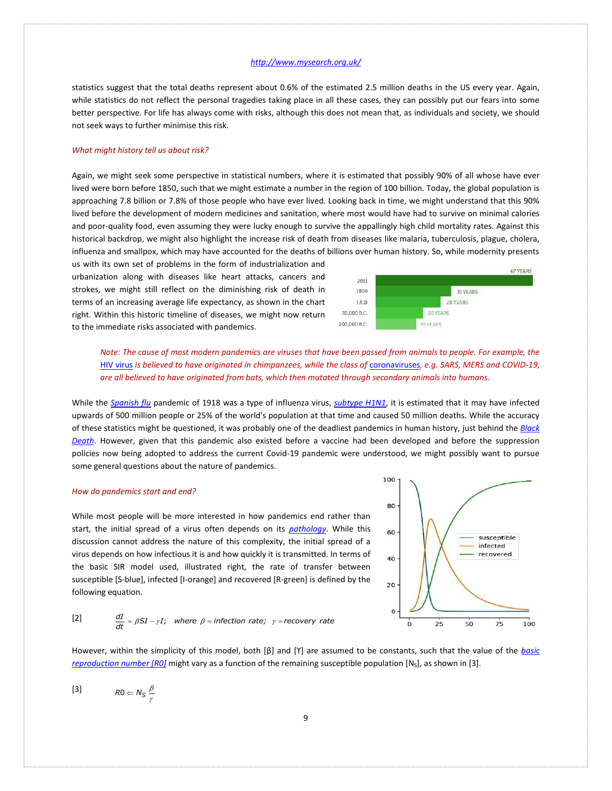statistics suggest that the total deaths represent about 0.6% of the estimated 2.5 million deaths in the US every year. Again, while statistics do not reflect the personal tragedies taking place in all these cases, they can possibly put our fears into some better perspective. For life has always come with risks, although this does not mean that, as individuals and society, we should not seek ways to further minimise this risk.

#### *What might history tell us about risk?*

Again, we might seek some perspective in statistical numbers, where it is estimated that possibly 90% of all whose have ever lived were born before 1850, such that we might estimate a number in the region of 100 billion. Today, the global population is approaching 7.8 billion or 7.8% of those people who have ever lived. Looking back in time, we might understand that this 90% lived before the development of modern medicines and sanitation, where most would have had to survive on minimal calories and poor-quality food, even assuming they were lucky enough to survive the appallingly high child mortality rates. Against this historical backdrop, we might also highlight the increase risk of death from diseases like malaria, tuberculosis, plague, cholera, influenza and smallpox, which may have accounted for the deaths of billions over human history. So, while modernity presents

us with its own set of problems in the form of industrialization and urbanization along with diseases like heart attacks, cancers and strokes, we might still reflect on the diminishing risk of death in terms of an increasing average life expectancy, as shown in the chart right. Within this historic timeline of diseases, we might now return to the immediate risks associated with pandemics.



*Note: The cause of most modern pandemics are viruses that have been passed from animals to people. For example, the*  [HIV virus](https://en.wikipedia.org/wiki/HIV) is believed to have originated in chimpanzees, while the class of [coronaviruses](https://en.wikipedia.org/wiki/Coronavirus), e.g. SARS, MERS and COVID-19, *are all believed to have originated from bats, which then mutated through secondary animals into humans.* 

While the *[Spanish flu](https://en.wikipedia.org/wiki/1918_flu_pandemic)* pandemic of 1918 was a type of influenza virus, *[subtype H1N1](https://en.wikipedia.org/wiki/Influenza_A_virus_subtype_H1N1)*, it is estimated that it may have infected upwards of 500 million people or 25% of the world's population at that time and caused 50 million deaths. While the accuracy of these statistics might be questioned, it was probably one of the deadliest pandemics in human history, just behind the *[Black](https://en.wikipedia.org/wiki/Black_Death)  [Death](https://en.wikipedia.org/wiki/Black_Death)*. However, given that this pandemic also existed before a vaccine had been developed and before the suppression policies now being adopted to address the current Covid-19 pandemic were understood, we might possibly want to pursue some general questions about the nature of pandemics.

# *How do pandemics start and end?*

While most people will be more interested in how pandemics end rather than start, the initial spread of a virus often depends on its *[pathology](https://en.wikipedia.org/wiki/Viral_pathogenesis)*. While this discussion cannot address the nature of this complexity, the initial spread of a virus depends on how infectious it is and how quickly it is transmitted. In terms of the basic SIR model used, illustrated right, the rate of transfer between susceptible [S-blue], infected [I-orange] and recovered [R-green] is defined by the following equation.



[2] 
$$
\frac{dI}{dt} = \beta SI - \gamma I; \text{ where } \beta = \text{infection rate; } \gamma = \text{recovery rate}
$$

However, within the simplicity of this model, both [β] and [ϒ] are assumed to be constants, such that the value of the *[basic](https://en.wikipedia.org/wiki/Basic_reproduction_number)  [reproduction number \[R0\]](https://en.wikipedia.org/wiki/Basic_reproduction_number)* might vary as a function of the remaining susceptible population [N<sub>S</sub>], as shown in [3].

[3]  $R0 \Leftarrow N_S \frac{\beta}{N}$  $\Leftarrow N_S \frac{P}{\gamma}$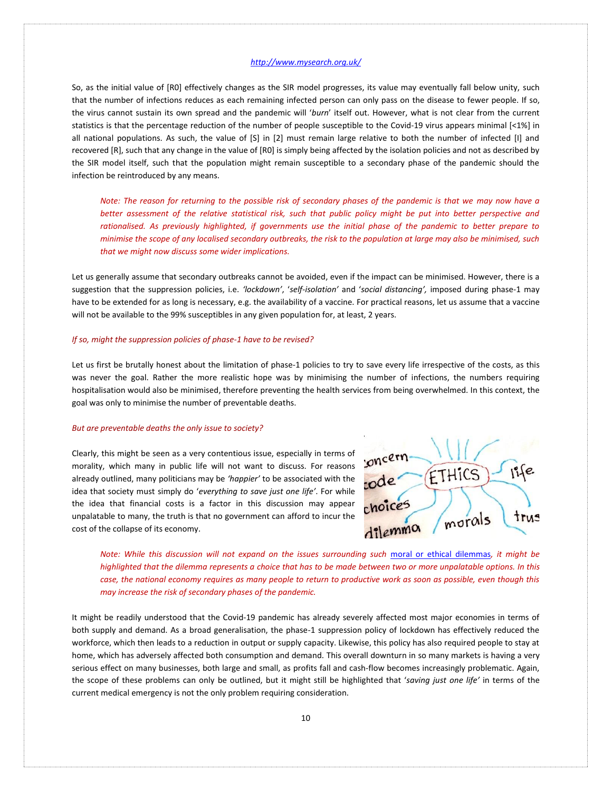So, as the initial value of [R0] effectively changes as the SIR model progresses, its value may eventually fall below unity, such that the number of infections reduces as each remaining infected person can only pass on the disease to fewer people. If so, the virus cannot sustain its own spread and the pandemic will '*burn*' itself out. However, what is not clear from the current statistics is that the percentage reduction of the number of people susceptible to the Covid-19 virus appears minimal [<1%] in all national populations. As such, the value of [S] in [2] must remain large relative to both the number of infected [I] and recovered [R], such that any change in the value of [R0] is simply being affected by the isolation policies and not as described by the SIR model itself, such that the population might remain susceptible to a secondary phase of the pandemic should the infection be reintroduced by any means.

*Note: The reason for returning to the possible risk of secondary phases of the pandemic is that we may now have a better assessment of the relative statistical risk, such that public policy might be put into better perspective and rationalised. As previously highlighted, if governments use the initial phase of the pandemic to better prepare to minimise the scope of any localised secondary outbreaks, the risk to the population at large may also be minimised, such that we might now discuss some wider implications.*

Let us generally assume that secondary outbreaks cannot be avoided, even if the impact can be minimised. However, there is a suggestion that the suppression policies, i.e. *'lockdown'*, '*self-isolation'* and '*social distancing',* imposed during phase-1 may have to be extended for as long is necessary, e.g. the availability of a vaccine. For practical reasons, let us assume that a vaccine will not be available to the 99% susceptibles in any given population for, at least, 2 years.

## *If so, might the suppression policies of phase-1 have to be revised?*

Let us first be brutally honest about the limitation of phase-1 policies to try to save every life irrespective of the costs, as this was never the goal. Rather the more realistic hope was by minimising the number of infections, the numbers requiring hospitalisation would also be minimised, therefore preventing the health services from being overwhelmed. In this context, the goal was only to minimise the number of preventable deaths.

## *But are preventable deaths the only issue to society?*

Clearly, this might be seen as a very contentious issue, especially in terms of morality, which many in public life will not want to discuss. For reasons already outlined, many politicians may be *'happier'* to be associated with the idea that society must simply do '*everything to save just one life'*. For while the idea that financial costs is a factor in this discussion may appear unpalatable to many, the truth is that no government can afford to incur the cost of the collapse of its economy.



*Note: While this discussion will not expand on the issues surrounding such [moral or ethical dilemmas](https://en.wikipedia.org/wiki/Ethical_dilemma), it might be highlighted that the dilemma represents a choice that has to be made between two or more unpalatable options. In this case, the national economy requires as many people to return to productive work as soon as possible, even though this may increase the risk of secondary phases of the pandemic.*

It might be readily understood that the Covid-19 pandemic has already severely affected most major economies in terms of both supply and demand. As a broad generalisation, the phase-1 suppression policy of lockdown has effectively reduced the workforce, which then leads to a reduction in output or supply capacity. Likewise, this policy has also required people to stay at home, which has adversely affected both consumption and demand. This overall downturn in so many markets is having a very serious effect on many businesses, both large and small, as profits fall and cash-flow becomes increasingly problematic. Again, the scope of these problems can only be outlined, but it might still be highlighted that '*saving just one life'* in terms of the current medical emergency is not the only problem requiring consideration.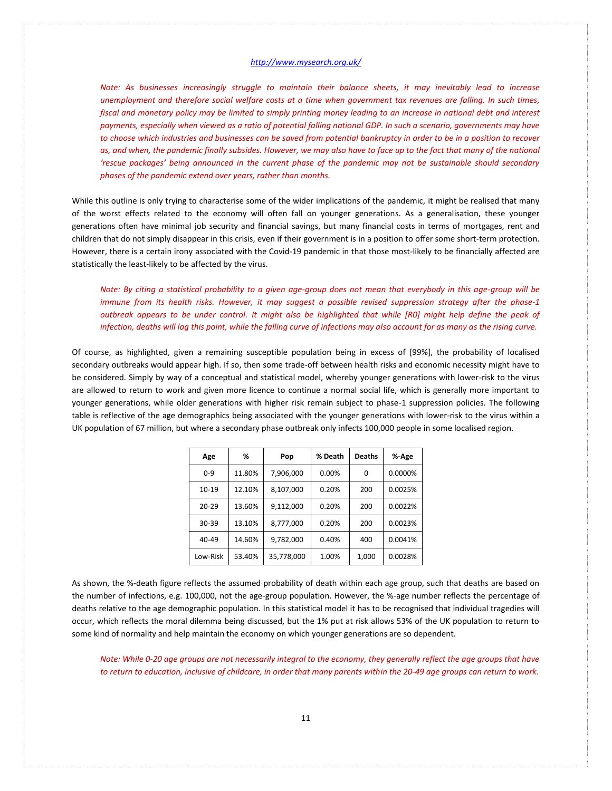*Note: As businesses increasingly struggle to maintain their balance sheets, it may inevitably lead to increase unemployment and therefore social welfare costs at a time when government tax revenues are falling. In such times, fiscal and monetary policy may be limited to simply printing money leading to an increase in national debt and interest payments, especially when viewed as a ratio of potential falling national GDP. In such a scenario, governments may have to choose which industries and businesses can be saved from potential bankruptcy in order to be in a position to recover as, and when, the pandemic finally subsides. However, we may also have to face up to the fact that many of the national 'rescue packages' being announced in the current phase of the pandemic may not be sustainable should secondary phases of the pandemic extend over years, rather than months.* 

While this outline is only trying to characterise some of the wider implications of the pandemic, it might be realised that many of the worst effects related to the economy will often fall on younger generations. As a generalisation, these younger generations often have minimal job security and financial savings, but many financial costs in terms of mortgages, rent and children that do not simply disappear in this crisis, even if their government is in a position to offer some short-term protection. However, there is a certain irony associated with the Covid-19 pandemic in that those most-likely to be financially affected are statistically the least-likely to be affected by the virus.

*Note: By citing a statistical probability to a given age-group does not mean that everybody in this age-group will be immune from its health risks. However, it may suggest a possible revised suppression strategy after the phase-1 outbreak appears to be under control. It might also be highlighted that while [R0] might help define the peak of infection, deaths will lag this point, while the falling curve of infections may also account for as many as the rising curve.*

Of course, as highlighted, given a remaining susceptible population being in excess of [99%], the probability of localised secondary outbreaks would appear high. If so, then some trade-off between health risks and economic necessity might have to be considered. Simply by way of a conceptual and statistical model, whereby younger generations with lower-risk to the virus are allowed to return to work and given more licence to continue a normal social life, which is generally more important to younger generations, while older generations with higher risk remain subject to phase-1 suppression policies. The following table is reflective of the age demographics being associated with the younger generations with lower-risk to the virus within a UK population of 67 million, but where a secondary phase outbreak only infects 100,000 people in some localised region.

| Age       | %      | Pop        | % Death  | <b>Deaths</b> | %-Age   |
|-----------|--------|------------|----------|---------------|---------|
| $0 - 9$   | 11.80% | 7,906,000  | $0.00\%$ | 0             | 0.0000% |
| $10 - 19$ | 12.10% | 8,107,000  | 0.20%    | 200           | 0.0025% |
| $20 - 29$ | 13.60% | 9.112.000  | 0.20%    | 200           | 0.0022% |
| 30-39     | 13.10% | 8,777,000  | 0.20%    | 200           | 0.0023% |
| 40-49     | 14.60% | 9.782.000  | 0.40%    | 400           | 0.0041% |
| Low-Risk  | 53.40% | 35,778,000 | 1.00%    | 1,000         | 0.0028% |

As shown, the %-death figure reflects the assumed probability of death within each age group, such that deaths are based on the number of infections, e.g. 100,000, not the age-group population. However, the %-age number reflects the percentage of deaths relative to the age demographic population. In this statistical model it has to be recognised that individual tragedies will occur, which reflects the moral dilemma being discussed, but the 1% put at risk allows 53% of the UK population to return to some kind of normality and help maintain the economy on which younger generations are so dependent.

*Note: While 0-20 age groups are not necessarily integral to the economy, they generally reflect the age groups that have to return to education, inclusive of childcare, in order that many parents within the 20-49 age groups can return to work.*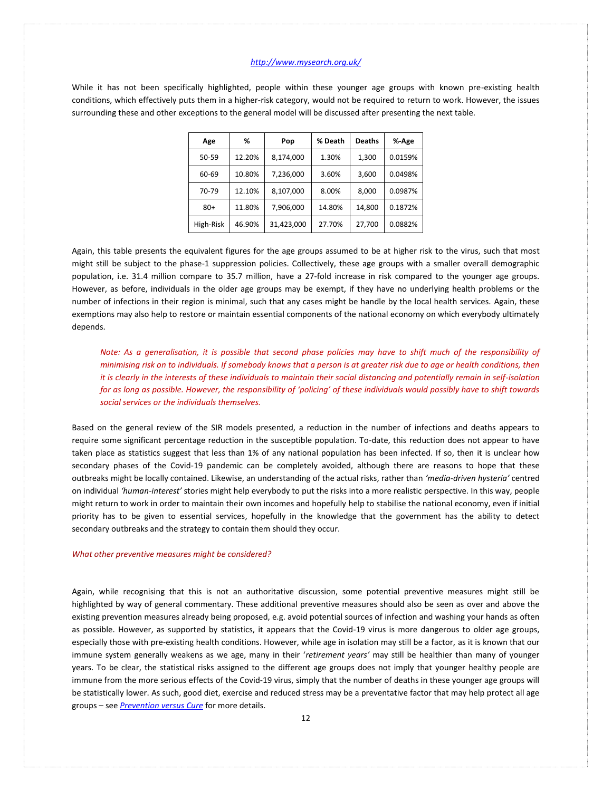While it has not been specifically highlighted, people within these younger age groups with known pre-existing health conditions, which effectively puts them in a higher-risk category, would not be required to return to work. However, the issues surrounding these and other exceptions to the general model will be discussed after presenting the next table.

| Age       | %      | Pop        | % Death | <b>Deaths</b> | %-Age   |
|-----------|--------|------------|---------|---------------|---------|
| 50-59     | 12.20% | 8,174,000  | 1.30%   | 1,300         | 0.0159% |
| 60-69     | 10.80% | 7,236,000  | 3.60%   | 3,600         | 0.0498% |
| 70-79     | 12.10% | 8,107,000  | 8.00%   | 8,000         | 0.0987% |
| $80+$     | 11.80% | 7,906,000  | 14.80%  | 14,800        | 0.1872% |
| High-Risk | 46.90% | 31,423,000 | 27.70%  | 27,700        | 0.0882% |

Again, this table presents the equivalent figures for the age groups assumed to be at higher risk to the virus, such that most might still be subject to the phase-1 suppression policies. Collectively, these age groups with a smaller overall demographic population, i.e. 31.4 million compare to 35.7 million, have a 27-fold increase in risk compared to the younger age groups. However, as before, individuals in the older age groups may be exempt, if they have no underlying health problems or the number of infections in their region is minimal, such that any cases might be handle by the local health services. Again, these exemptions may also help to restore or maintain essential components of the national economy on which everybody ultimately depends.

*Note: As a generalisation, it is possible that second phase policies may have to shift much of the responsibility of minimising risk on to individuals. If somebody knows that a person is at greater risk due to age or health conditions, then it is clearly in the interests of these individuals to maintain their social distancing and potentially remain in self-isolation for as long as possible. However, the responsibility of 'policing' of these individuals would possibly have to shift towards social services or the individuals themselves.*

Based on the general review of the SIR models presented, a reduction in the number of infections and deaths appears to require some significant percentage reduction in the susceptible population. To-date, this reduction does not appear to have taken place as statistics suggest that less than 1% of any national population has been infected. If so, then it is unclear how secondary phases of the Covid-19 pandemic can be completely avoided, although there are reasons to hope that these outbreaks might be locally contained. Likewise, an understanding of the actual risks, rather than *'media-driven hysteria'* centred on individual *'human-interest'* stories might help everybody to put the risks into a more realistic perspective. In this way, people might return to work in order to maintain their own incomes and hopefully help to stabilise the national economy, even if initial priority has to be given to essential services, hopefully in the knowledge that the government has the ability to detect secondary outbreaks and the strategy to contain them should they occur.

#### *What other preventive measures might be considered?*

Again, while recognising that this is not an authoritative discussion, some potential preventive measures might still be highlighted by way of general commentary. These additional preventive measures should also be seen as over and above the existing prevention measures already being proposed, e.g. avoid potential sources of infection and washing your hands as often as possible. However, as supported by statistics, it appears that the Covid-19 virus is more dangerous to older age groups, especially those with pre-existing health conditions. However, while age in isolation may still be a factor, as it is known that our immune system generally weakens as we age, many in their '*retirement years'* may still be healthier than many of younger years. To be clear, the statistical risks assigned to the different age groups does not imply that younger healthy people are immune from the more serious effects of the Covid-19 virus, simply that the number of deaths in these younger age groups will be statistically lower. As such, good diet, exercise and reduced stress may be a preventative factor that may help protect all age groups – see *[Prevention versus Cure](http://www.mysearch.org.uk/website4/html/13.Prevention.html)* for more details.